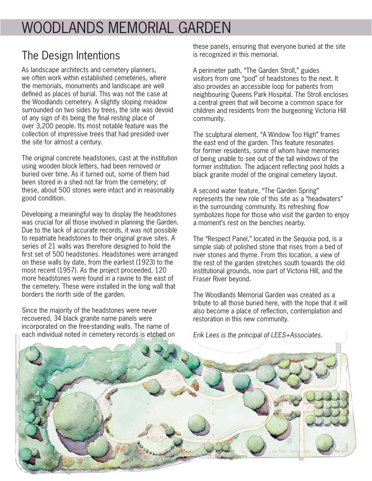## WOODLANDS MEMORIAL GARDEN

## The Design Intentions

As landscape architects and cemetery planners, we often work within established cemeteries, where the memorials, monuments and landscape are well defined as places of burial. This was not the case at the Woodlands cemetery. A slightly sloping meadow surrounded on two sides by trees, the site was devoid of any sign of its being the final resting place of over 3,200 people. Its most notable feature was the collection of impressive trees that had presided over the site for almost a century.

The original concrete headstones, cast at the institution using wooden block letters, had been removed or buried over time. As it turned out, some of them had been stored in a shed not far from the cemetery; of these, about 500 stones were intact and in reasonably good condition.

Developing a meaningful way to display the headstones was crucial for all those involved in planning the Garden. Due to the lack of accurate records, it was not possible to repatriate headstones to their original grave sites. A series of 21 walls was therefore designed to hold the first set of 500 headstones. Headstones were arranged on these walls by date, from the earliest (1923) to the most recent (1957). As the project proceeded, 120 more headstones were found in a ravine to the east of the cemetery. These were installed in the long wall that borders the north side of the garden.

Since the majority of the headstones were never recovered, 34 black granite name panels were incorporated on the free-standing walls. The name of each individual noted in cemetery records is etched on these panels, ensuring that everyone buried at the site is recognized in this memorial.

A perimeter path, "The Garden Stroll," guides visitors from one "pod" of headstones to the next. It also provides an accessible loop for patients from neighbouring Queens Park Hospital. The Stroll encloses a central green that will become a common space for children and residents from the burgeoning Victoria Hill community.

The sculptural element, "A Window Too High" frames the east end of the garden. This feature resonates for former residents, some of whom have memories of being unable to see out of the tall windows of the former institution. The adjacent reflecting pool holds a black granite model of the original cemetery layout.

A second water feature, "The Garden Spring" represents the new role of this site as a "headwaters" in the surrounding community. Its refreshing flow symbolizes hope for those who visit the garden to enjoy a moment's rest on the benches nearby.

The "Respect Panel," located in the Sequoia pod, is a simple slab of polished stone that rises from a bed of river stones and thyme. From this location, a view of the rest of the garden stretches south towards the old institutional grounds, now part of Victoria Hill, and the Fraser River beyond.

The Woodlands Memorial Garden was created as a tribute to all those buried here, with the hope that it will also become a place of reflection, contemplation and restoration in this new community.



Erik Lees is the principal of LEES+Associates.